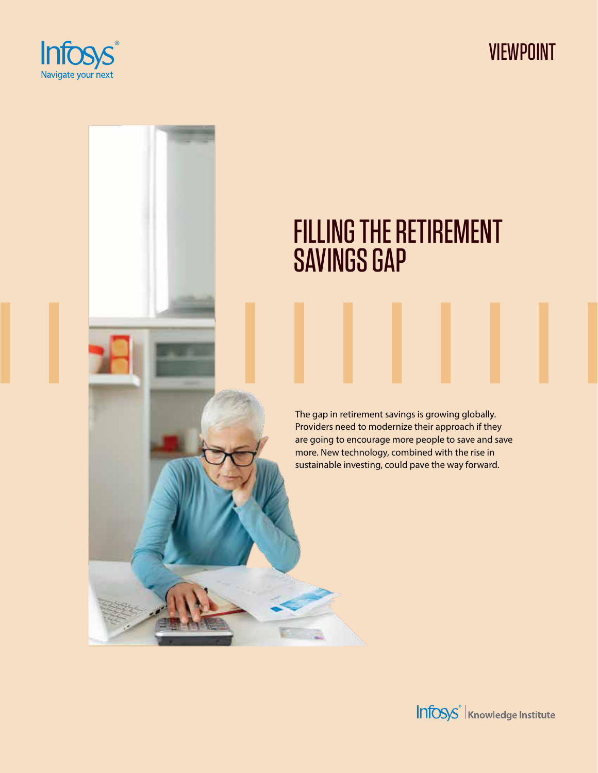

VIEWPOINT

# FILLING THE RETIREMENT SAVINGS GAP

The gap in retirement savings is growing globally. Providers need to modernize their approach if they are going to encourage more people to save and save more. New technology, combined with the rise in sustainable investing, could pave the way forward.

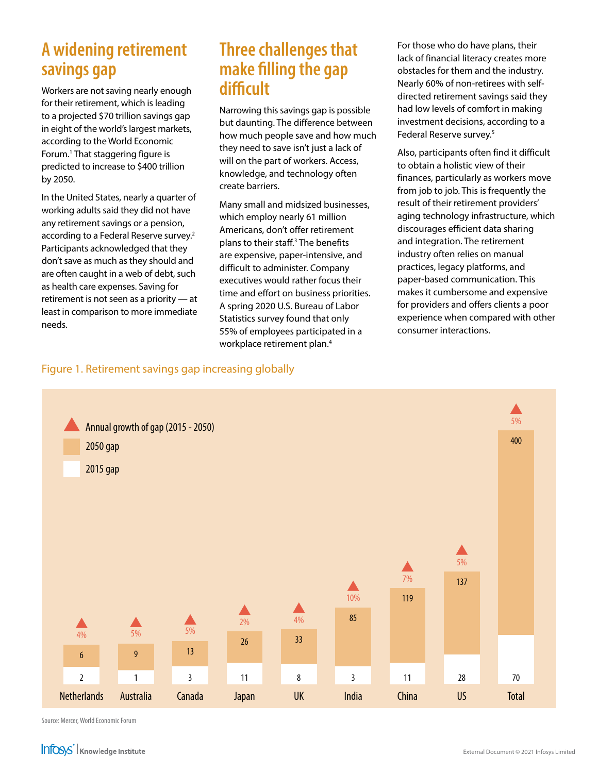### **A widening retirement savings gap**

Workers are not saving nearly enough for their retirement, which is leading to a projected \$70 trillion savings gap in eight of the world's largest markets, according to the World Economic Forum.<sup>1</sup> That staggering figure is predicted to increase to \$400 trillion by 2050.

In the United States, nearly a quarter of working adults said they did not have any retirement savings or a pension, according to a Federal Reserve survey.<sup>2</sup> Participants acknowledged that they don't save as much as they should and are often caught in a web of debt, such as health care expenses. Saving for retirement is not seen as a priority — at least in comparison to more immediate needs.

### **Three challenges that make filling the gap difficult**

Narrowing this savings gap is possible but daunting. The difference between how much people save and how much they need to save isn't just a lack of will on the part of workers. Access, knowledge, and technology often create barriers.

Many small and midsized businesses, which employ nearly 61 million Americans, don't offer retirement plans to their staff.<sup>3</sup> The benefits are expensive, paper-intensive, and difficult to administer. Company executives would rather focus their time and effort on business priorities. A spring 2020 U.S. Bureau of Labor Statistics survey found that only 55% of employees participated in a workplace retirement plan.4

For those who do have plans, their lack of financial literacy creates more obstacles for them and the industry. Nearly 60% of non-retirees with selfdirected retirement savings said they had low levels of comfort in making investment decisions, according to a Federal Reserve survey.<sup>5</sup>

Also, participants often find it difficult to obtain a holistic view of their finances, particularly as workers move from job to job. This is frequently the result of their retirement providers' aging technology infrastructure, which discourages efficient data sharing and integration. The retirement industry often relies on manual practices, legacy platforms, and paper-based communication. This makes it cumbersome and expensive for providers and offers clients a poor experience when compared with other consumer interactions.

#### Figure 1. Retirement savings gap increasing globally



Source: Mercer, World Economic Forum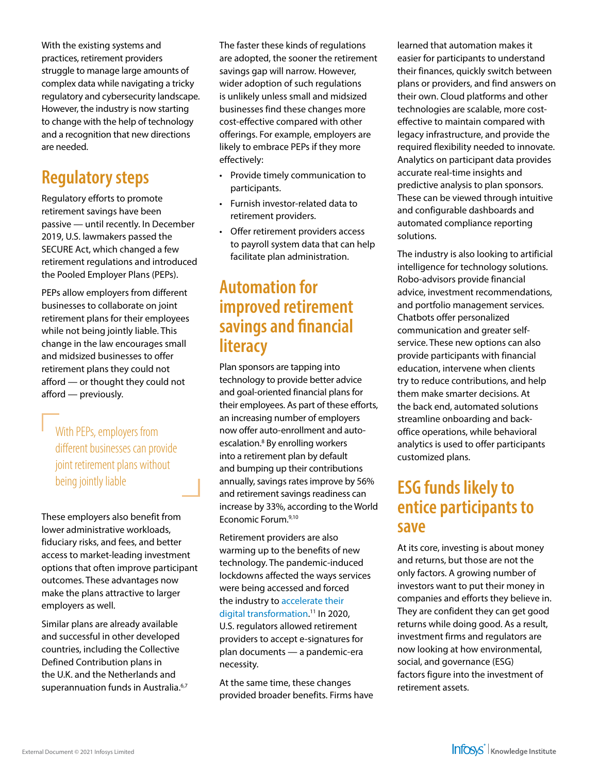With the existing systems and practices, retirement providers struggle to manage large amounts of complex data while navigating a tricky regulatory and cybersecurity landscape. However, the industry is now starting to change with the help of technology and a recognition that new directions are needed.

## **Regulatory steps**

Regulatory efforts to promote retirement savings have been passive — until recently. In December 2019, U.S. lawmakers passed the SECURE Act, which changed a few retirement regulations and introduced the Pooled Employer Plans (PEPs).

PEPs allow employers from different businesses to collaborate on joint retirement plans for their employees while not being jointly liable. This change in the law encourages small and midsized businesses to offer retirement plans they could not afford — or thought they could not afford — previously.

With PEPs, employers from different businesses can provide joint retirement plans without being jointly liable

These employers also benefit from lower administrative workloads, fiduciary risks, and fees, and better access to market-leading investment options that often improve participant outcomes. These advantages now make the plans attractive to larger employers as well.

Similar plans are already available and successful in other developed countries, including the Collective Defined Contribution plans in the U.K. and the Netherlands and superannuation funds in Australia.<sup>6,7</sup> The faster these kinds of regulations are adopted, the sooner the retirement savings gap will narrow. However, wider adoption of such regulations is unlikely unless small and midsized businesses find these changes more cost-effective compared with other offerings. For example, employers are likely to embrace PEPs if they more effectively:

- Provide timely communication to participants.
- Furnish investor-related data to retirement providers.
- Offer retirement providers access to payroll system data that can help facilitate plan administration.

### **Automation for improved retirement savings and financial literacy**

Plan sponsors are tapping into technology to provide better advice and goal-oriented financial plans for their employees. As part of these efforts, an increasing number of employers now offer auto-enrollment and autoescalation.<sup>8</sup> By enrolling workers into a retirement plan by default and bumping up their contributions annually, savings rates improve by 56% and retirement savings readiness can increase by 33%, according to the World Economic Forum.9,10

Retirement providers are also warming up to the benefits of new technology. The pandemic-induced lockdowns affected the ways services were being accessed and forced the industry to [accelerate their](https://www.infosys.com/industries/financial-services/next-financial-services/digital-transformation-retirement-providers.html)  [digital transformation.](https://www.infosys.com/industries/financial-services/next-financial-services/digital-transformation-retirement-providers.html) 11 In 2020, U.S. regulators allowed retirement providers to accept e-signatures for plan documents — a pandemic-era necessity.

At the same time, these changes provided broader benefits. Firms have learned that automation makes it easier for participants to understand their finances, quickly switch between plans or providers, and find answers on their own. Cloud platforms and other technologies are scalable, more costeffective to maintain compared with legacy infrastructure, and provide the required flexibility needed to innovate. Analytics on participant data provides accurate real-time insights and predictive analysis to plan sponsors. These can be viewed through intuitive and configurable dashboards and automated compliance reporting solutions.

The industry is also looking to artificial intelligence for technology solutions. Robo-advisors provide financial advice, investment recommendations, and portfolio management services. Chatbots offer personalized communication and greater selfservice. These new options can also provide participants with financial education, intervene when clients try to reduce contributions, and help them make smarter decisions. At the back end, automated solutions streamline onboarding and backoffice operations, while behavioral analytics is used to offer participants customized plans.

### **ESG funds likely to entice participants to save**

At its core, investing is about money and returns, but those are not the only factors. A growing number of investors want to put their money in companies and efforts they believe in. They are confident they can get good returns while doing good. As a result, investment firms and regulators are now looking at how environmental, social, and governance (ESG) factors figure into the investment of retirement assets.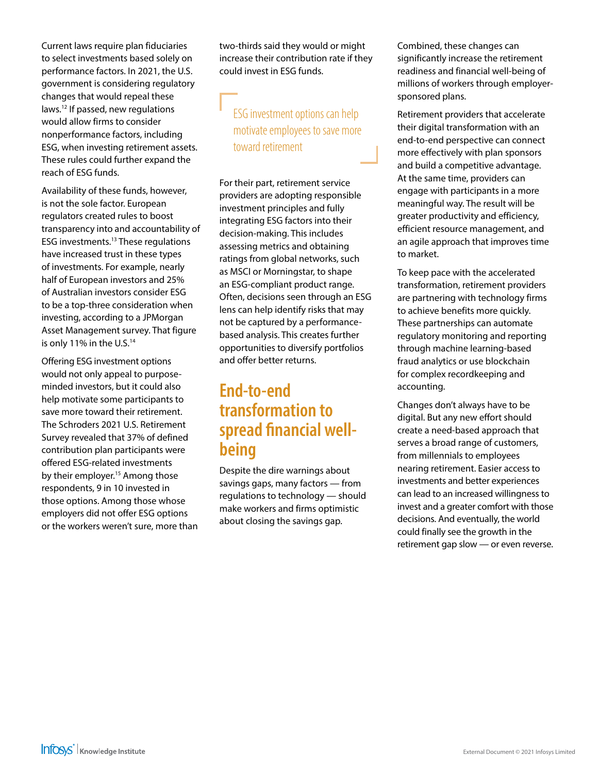Current laws require plan fiduciaries to select investments based solely on performance factors. In 2021, the U.S. government is considering regulatory changes that would repeal these laws.12 If passed, new regulations would allow firms to consider nonperformance factors, including ESG, when investing retirement assets. These rules could further expand the reach of ESG funds.

Availability of these funds, however, is not the sole factor. European regulators created rules to boost transparency into and accountability of ESG investments.13 These regulations have increased trust in these types of investments. For example, nearly half of European investors and 25% of Australian investors consider ESG to be a top-three consideration when investing, according to a JPMorgan Asset Management survey. That figure is only 11% in the U.S.<sup>14</sup>

Offering ESG investment options would not only appeal to purposeminded investors, but it could also help motivate some participants to save more toward their retirement. The Schroders 2021 U.S. Retirement Survey revealed that 37% of defined contribution plan participants were offered ESG-related investments by their employer.<sup>15</sup> Among those respondents, 9 in 10 invested in those options. Among those whose employers did not offer ESG options or the workers weren't sure, more than two-thirds said they would or might increase their contribution rate if they could invest in ESG funds.

### ESG investment options can help motivate employees to save more toward retirement

For their part, retirement service providers are adopting responsible investment principles and fully integrating ESG factors into their decision-making. This includes assessing metrics and obtaining ratings from global networks, such as MSCI or Morningstar, to shape an ESG-compliant product range. Often, decisions seen through an ESG lens can help identify risks that may not be captured by a performancebased analysis. This creates further opportunities to diversify portfolios and offer better returns.

### **End-to-end transformation to spread financial wellbeing**

Despite the dire warnings about savings gaps, many factors — from regulations to technology — should make workers and firms optimistic about closing the savings gap.

Combined, these changes can significantly increase the retirement readiness and financial well-being of millions of workers through employersponsored plans.

Retirement providers that accelerate their digital transformation with an end-to-end perspective can connect more effectively with plan sponsors and build a competitive advantage. At the same time, providers can engage with participants in a more meaningful way. The result will be greater productivity and efficiency, efficient resource management, and an agile approach that improves time to market.

To keep pace with the accelerated transformation, retirement providers are partnering with technology firms to achieve benefits more quickly. These partnerships can automate regulatory monitoring and reporting through machine learning-based fraud analytics or use blockchain for complex recordkeeping and accounting.

Changes don't always have to be digital. But any new effort should create a need-based approach that serves a broad range of customers, from millennials to employees nearing retirement. Easier access to investments and better experiences can lead to an increased willingness to invest and a greater comfort with those decisions. And eventually, the world could finally see the growth in the retirement gap slow — or even reverse.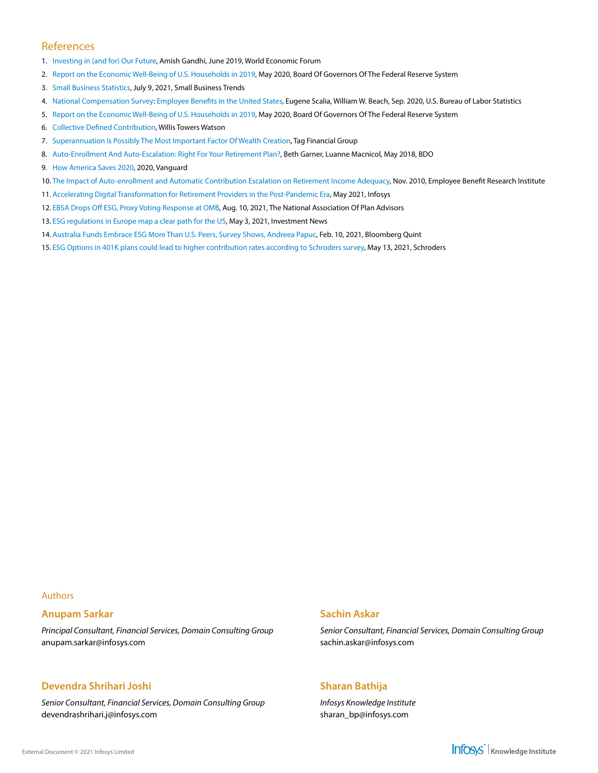#### References

- 1. [Investing in \(and for\) Our Future](https://www3.weforum.org/docs/WEF_Investing_in_our_Future_report_2019.pdf), Amish Gandhi, June 2019, World Economic Forum
- 2. [Report on the Economic Well-Being of U.S. Households in 2019](https://www.federalreserve.gov/publications/files/2019-report-economic-well-being-us-households-202005.pdf), May 2020, Board Of Governors Of The Federal Reserve System
- 3. [Small Business Statistics](https://smallbiztrends.com/small-business-statistics), July 9, 2021, Small Business Trends
- 4. [National Compensation Survey](https://www.bls.gov/ncs/ebs/benefits/2020/employee-benefits-in-the-united-states-march-2020.pdf): [Employee Benefits in the United States](https://www.bls.gov/ncs/ebs/benefits/2020/employee-benefits-in-the-united-states-march-2020.pdf), Eugene Scalia, William W. Beach, Sep. 2020, U.S. Bureau of Labor Statistics
- 5. [Report on the Economic Well-Being of U.S. Households in 2019](https://www.federalreserve.gov/publications/files/2019-report-economic-well-being-us-households-202005.pdf), May 2020, Board Of Governors Of The Federal Reserve System
- 6. [Collective Defined Contribution](https://www.willistowerswatson.com/en-GB/Solutions/services/collective-defined-contribution), Willis Towers Watson
- 7. [Superannuation Is Possibly The Most Important Factor Of Wealth Creation,](https://taggroup.com.au/wealth/superannuation/) Tag Financial Group
- 8. [Auto-Enrollment And Auto-Escalation: Right For Your Retirement Plan?](https://www.bdo.com/insights/assurance/employee-benefit-plan-audits/%E2%80%8Bauto-enrollment-and-auto-escalation-right-for-yo), Beth Garner, Luanne Macnicol, May 2018, BDO
- 9. [How America Saves 2020](https://institutional.vanguard.com/ngiam/assets/pdf/has/insights-to-action-2020.pdf), 2020, Vanguard
- 10. [The Impact of Auto-enrollment and Automatic Contribution Escalation on Retirement Income Adequacy](https://www.ebri.org/docs/default-source/ebri-issue-brief/ebri_ib_011-2010_no349_ebri_dciia.pdf?sfvrsn=83d4292f_0), Nov. 2010, Employee Benefit Research Institute
- 11. [Accelerating Digital Transformation for Retirement Providers in the Post-Pandemic Era,](https://www.infosys.com/industries/financial-services/next-financial-services/digital-transformation-retirement-providers.html) May 2021, Infosys
- 12. [EBSA Drops Off ESG, Proxy Voting Response at OMB,](https://www.napa-net.org/news-info/daily-news/ebsa-drops-esg-proxy-voting-response-omb) Aug. 10, 2021, The National Association Of Plan Advisors
- 13. [ESG regulations in Europe map a clear path for the US](https://www.investmentnews.com/esg-regulations-in-europe-map-a-clear-path-for-the-us-205971), May 3, 2021, Investment News
- 14. [Australia Funds Embrace ESG More Than U.S. Peers, Survey Shows, Andreea Papuc,](https://www.bloombergquint.com/onweb/australia-funds-embrace-esg-more-than-u-s-peers-survey-shows) Feb. 10, 2021, Bloomberg Quint
- 15. [ESG Options in 401K plans could lead to higher contribution rates according to Schroders survey,](https://www.schroders.com/en/us/private-investor/media-centre/retirement-survey-2021-esg/) May 13, 2021, Schroders

#### Authors

#### **Anupam Sarkar**

*Principal Consultant, Financial Services, Domain Consulting Group* anupam.sarkar@infosys.com

#### **Devendra Shrihari Joshi**

*Senior Consultant, Financial Services, Domain Consulting Group* devendrashrihari.j@infosys.com

#### **Sachin Askar**

*Senior Consultant, Financial Services, Domain Consulting Group* sachin.askar@infosys.com

#### **Sharan Bathija**

*Infosys Knowledge Institute* sharan\_bp@infosys.com